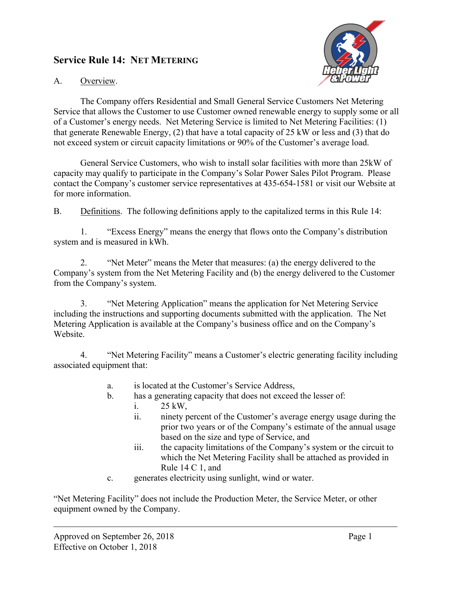## **Service Rule 14: NET METERING**



## A. Overview.

The Company offers Residential and Small General Service Customers Net Metering Service that allows the Customer to use Customer owned renewable energy to supply some or all of a Customer's energy needs. Net Metering Service is limited to Net Metering Facilities: (1) that generate Renewable Energy, (2) that have a total capacity of 25 kW or less and (3) that do not exceed system or circuit capacity limitations or 90% of the Customer's average load.

General Service Customers, who wish to install solar facilities with more than 25kW of capacity may qualify to participate in the Company's Solar Power Sales Pilot Program. Please contact the Company's customer service representatives at 435-654-1581 or visit our Website at for more information.

B. Definitions. The following definitions apply to the capitalized terms in this Rule 14:

1. "Excess Energy" means the energy that flows onto the Company's distribution system and is measured in kWh.

2. "Net Meter" means the Meter that measures: (a) the energy delivered to the Company's system from the Net Metering Facility and (b) the energy delivered to the Customer from the Company's system.

3. "Net Metering Application" means the application for Net Metering Service including the instructions and supporting documents submitted with the application. The Net Metering Application is available at the Company's business office and on the Company's Website.

4. "Net Metering Facility" means a Customer's electric generating facility including associated equipment that:

- a. is located at the Customer's Service Address,
- b. has a generating capacity that does not exceed the lesser of:
	- i. 25 kW,
	- ii. ninety percent of the Customer's average energy usage during the prior two years or of the Company's estimate of the annual usage based on the size and type of Service, and
	- iii. the capacity limitations of the Company's system or the circuit to which the Net Metering Facility shall be attached as provided in Rule 14 C 1, and
- c. generates electricity using sunlight, wind or water.

"Net Metering Facility" does not include the Production Meter, the Service Meter, or other equipment owned by the Company.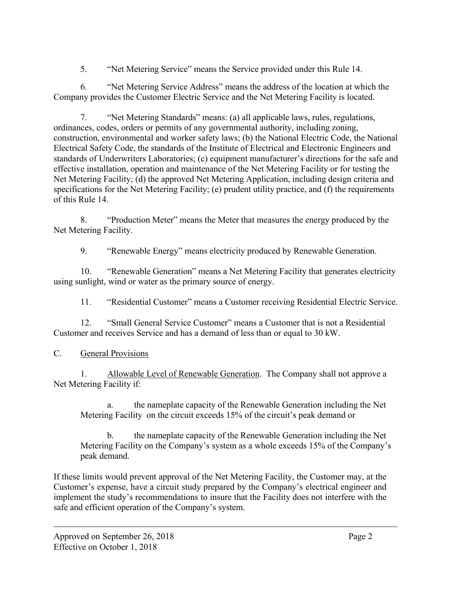5. "Net Metering Service" means the Service provided under this Rule 14.

6. "Net Metering Service Address" means the address of the location at which the Company provides the Customer Electric Service and the Net Metering Facility is located.

7. "Net Metering Standards" means: (a) all applicable laws, rules, regulations, ordinances, codes, orders or permits of any governmental authority, including zoning, construction, environmental and worker safety laws; (b) the National Electric Code, the National Electrical Safety Code, the standards of the Institute of Electrical and Electronic Engineers and standards of Underwriters Laboratories; (c) equipment manufacturer's directions for the safe and effective installation, operation and maintenance of the Net Metering Facility or for testing the Net Metering Facility; (d) the approved Net Metering Application, including design criteria and specifications for the Net Metering Facility; (e) prudent utility practice, and (f) the requirements of this Rule 14.

8. "Production Meter" means the Meter that measures the energy produced by the Net Metering Facility.

9. "Renewable Energy" means electricity produced by Renewable Generation.

10. "Renewable Generation" means a Net Metering Facility that generates electricity using sunlight, wind or water as the primary source of energy.

11. "Residential Customer" means a Customer receiving Residential Electric Service.

12. "Small General Service Customer" means a Customer that is not a Residential Customer and receives Service and has a demand of less than or equal to 30 kW.

C. General Provisions

1. Allowable Level of Renewable Generation. The Company shall not approve a Net Metering Facility if:

the nameplate capacity of the Renewable Generation including the Net Metering Facility on the circuit exceeds 15% of the circuit's peak demand or

b. the nameplate capacity of the Renewable Generation including the Net Metering Facility on the Company's system as a whole exceeds 15% of the Company's peak demand.

If these limits would prevent approval of the Net Metering Facility, the Customer may, at the Customer's expense, have a circuit study prepared by the Company's electrical engineer and implement the study's recommendations to insure that the Facility does not interfere with the safe and efficient operation of the Company's system.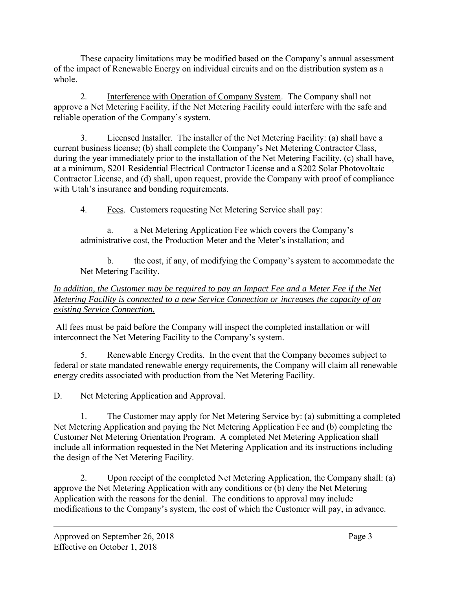These capacity limitations may be modified based on the Company's annual assessment of the impact of Renewable Energy on individual circuits and on the distribution system as a whole.

2. Interference with Operation of Company System. The Company shall not approve a Net Metering Facility, if the Net Metering Facility could interfere with the safe and reliable operation of the Company's system.

3. Licensed Installer. The installer of the Net Metering Facility: (a) shall have a current business license; (b) shall complete the Company's Net Metering Contractor Class, during the year immediately prior to the installation of the Net Metering Facility, (c) shall have, at a minimum, S201 Residential Electrical Contractor License and a S202 Solar Photovoltaic Contractor License, and (d) shall, upon request, provide the Company with proof of compliance with Utah's insurance and bonding requirements.

4. Fees. Customers requesting Net Metering Service shall pay:

a. a Net Metering Application Fee which covers the Company's administrative cost, the Production Meter and the Meter's installation; and

b. the cost, if any, of modifying the Company's system to accommodate the Net Metering Facility.

## *In addition, the Customer may be required to pay an Impact Fee and a Meter Fee if the Net Metering Facility is connected to a new Service Connection or increases the capacity of an existing Service Connection.*

All fees must be paid before the Company will inspect the completed installation or will interconnect the Net Metering Facility to the Company's system.

5. Renewable Energy Credits. In the event that the Company becomes subject to federal or state mandated renewable energy requirements, the Company will claim all renewable energy credits associated with production from the Net Metering Facility.

D. Net Metering Application and Approval.

1. The Customer may apply for Net Metering Service by: (a) submitting a completed Net Metering Application and paying the Net Metering Application Fee and (b) completing the Customer Net Metering Orientation Program. A completed Net Metering Application shall include all information requested in the Net Metering Application and its instructions including the design of the Net Metering Facility.

2. Upon receipt of the completed Net Metering Application, the Company shall: (a) approve the Net Metering Application with any conditions or (b) deny the Net Metering Application with the reasons for the denial. The conditions to approval may include modifications to the Company's system, the cost of which the Customer will pay, in advance.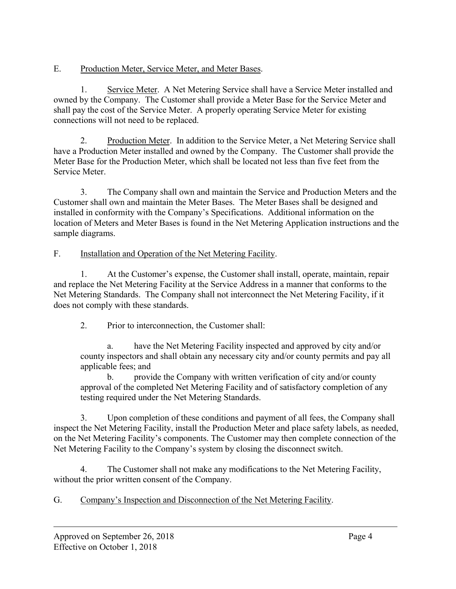E. Production Meter, Service Meter, and Meter Bases.

1. Service Meter. A Net Metering Service shall have a Service Meter installed and owned by the Company. The Customer shall provide a Meter Base for the Service Meter and shall pay the cost of the Service Meter. A properly operating Service Meter for existing connections will not need to be replaced.

2. Production Meter. In addition to the Service Meter, a Net Metering Service shall have a Production Meter installed and owned by the Company. The Customer shall provide the Meter Base for the Production Meter, which shall be located not less than five feet from the Service Meter.

3. The Company shall own and maintain the Service and Production Meters and the Customer shall own and maintain the Meter Bases. The Meter Bases shall be designed and installed in conformity with the Company's Specifications. Additional information on the location of Meters and Meter Bases is found in the Net Metering Application instructions and the sample diagrams.

F. Installation and Operation of the Net Metering Facility.

1. At the Customer's expense, the Customer shall install, operate, maintain, repair and replace the Net Metering Facility at the Service Address in a manner that conforms to the Net Metering Standards. The Company shall not interconnect the Net Metering Facility, if it does not comply with these standards.

2. Prior to interconnection, the Customer shall:

a. have the Net Metering Facility inspected and approved by city and/or county inspectors and shall obtain any necessary city and/or county permits and pay all applicable fees; and

b. provide the Company with written verification of city and/or county approval of the completed Net Metering Facility and of satisfactory completion of any testing required under the Net Metering Standards.

3. Upon completion of these conditions and payment of all fees, the Company shall inspect the Net Metering Facility, install the Production Meter and place safety labels, as needed, on the Net Metering Facility's components. The Customer may then complete connection of the Net Metering Facility to the Company's system by closing the disconnect switch.

4. The Customer shall not make any modifications to the Net Metering Facility, without the prior written consent of the Company.

G. Company's Inspection and Disconnection of the Net Metering Facility.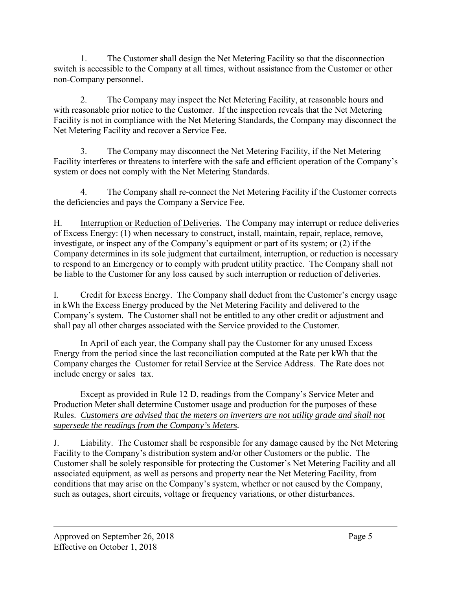1. The Customer shall design the Net Metering Facility so that the disconnection switch is accessible to the Company at all times, without assistance from the Customer or other non-Company personnel.

2. The Company may inspect the Net Metering Facility, at reasonable hours and with reasonable prior notice to the Customer. If the inspection reveals that the Net Metering Facility is not in compliance with the Net Metering Standards, the Company may disconnect the Net Metering Facility and recover a Service Fee.

3. The Company may disconnect the Net Metering Facility, if the Net Metering Facility interferes or threatens to interfere with the safe and efficient operation of the Company's system or does not comply with the Net Metering Standards.

4. The Company shall re-connect the Net Metering Facility if the Customer corrects the deficiencies and pays the Company a Service Fee.

H. Interruption or Reduction of Deliveries. The Company may interrupt or reduce deliveries of Excess Energy: (1) when necessary to construct, install, maintain, repair, replace, remove, investigate, or inspect any of the Company's equipment or part of its system; or (2) if the Company determines in its sole judgment that curtailment, interruption, or reduction is necessary to respond to an Emergency or to comply with prudent utility practice. The Company shall not be liable to the Customer for any loss caused by such interruption or reduction of deliveries.

I. Credit for Excess Energy. The Company shall deduct from the Customer's energy usage in kWh the Excess Energy produced by the Net Metering Facility and delivered to the Company's system. The Customer shall not be entitled to any other credit or adjustment and shall pay all other charges associated with the Service provided to the Customer.

In April of each year, the Company shall pay the Customer for any unused Excess Energy from the period since the last reconciliation computed at the Rate per kWh that the Company charges the Customer for retail Service at the Service Address. The Rate does not include energy or sales tax.

Except as provided in Rule 12 D, readings from the Company's Service Meter and Production Meter shall determine Customer usage and production for the purposes of these Rules. *Customers are advised that the meters on inverters are not utility grade and shall not* supersede the readings from the Company's Meters.

J. Liability. The Customer shall be responsible for any damage caused by the Net Metering Facility to the Company's distribution system and/or other Customers or the public. The Customer shall be solely responsible for protecting the Customer's Net Metering Facility and all associated equipment, as well as persons and property near the Net Metering Facility, from conditions that may arise on the Company's system, whether or not caused by the Company, such as outages, short circuits, voltage or frequency variations, or other disturbances.